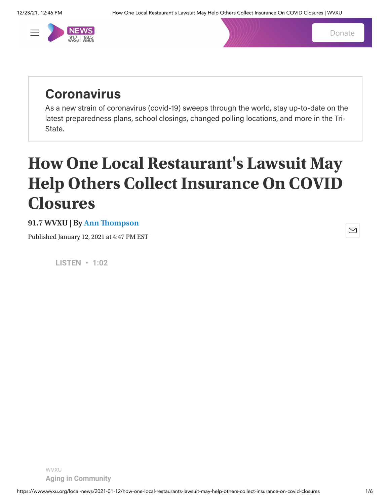

[Donate](https://secure2.convio.net/cpr/site/Donation2;jsessionid=00000000.app20116b?df_id=2683&2683.donation=form1&NONCE_TOKEN=2A3E90D85326E723597000560587FF6F)

 $\boxtimes$ 

# **Coronavirus**

As a new strain of coronavirus (covid-19) sweeps through the world, stay up-to-date on the latest preparedness plans, school closings, changed polling locations, and more in the Tri-State.

# **How One Local Restaurant's Lawsuit May Help Others Collect Insurance On COVID Closures**

## **91.7 WVXU | By [Ann Thompson](https://www.wvxu.org/people/ann-thompson)**

Published January 12, 2021 at 4:47 PM EST

**LISTEN • 1:02**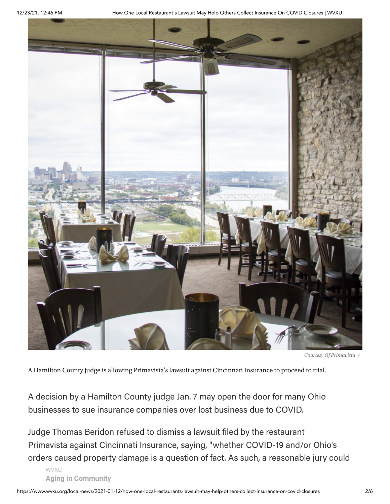

*Courtesy Of Primavista /*

A Hamilton County judge is allowing Primavista's lawsuit against Cincinnati Insurance to proceed to trial.

A decision by a Hamilton County judge Jan. 7 may open the door for many Ohio businesses to sue insurance companies over lost business due to COVID.

Judge Thomas Beridon refused to dismiss a lawsuit filed by the restaurant Primavista against Cincinnati Insurance, saying, "whether COVID-19 and/or Ohio's orders caused property damage is a question of fact. As such, a reasonable jury could

 $\mathsf{WV} \mathsf{X} \mathsf{U}$ **Aging in Community**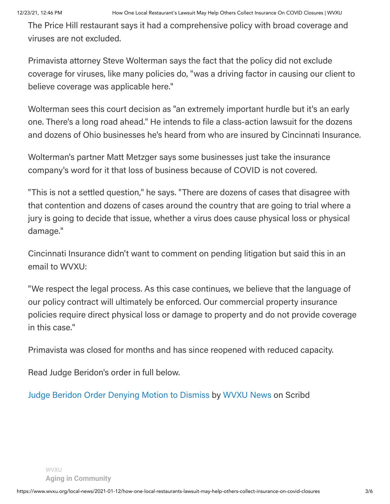The Price Hill restaurant says it had a comprehensive policy with broad coverage and viruses are not excluded.

Primavista attorney Steve Wolterman says the fact that the policy did not exclude coverage for viruses, like many policies do, "was a driving factor in causing our client to believe coverage was applicable here."

Wolterman sees this court decision as "an extremely important hurdle but it's an early one. There's a long road ahead." He intends to file a class-action lawsuit for the dozens and dozens of Ohio businesses he's heard from who are insured by Cincinnati Insurance.

Wolterman's partner Matt Metzger says some businesses just take the insurance company's word for it that loss of business because of COVID is not covered.

"This is not a settled question," he says. "There are dozens of cases that disagree with that contention and dozens of cases around the country that are going to trial where a jury is going to decide that issue, whether a virus does cause physical loss or physical damage."

Cincinnati Insurance didn't want to comment on pending litigation but said this in an email to WVXU:

"We respect the legal process. As this case continues, we believe that the language of our policy contract will ultimately be enforced. Our commercial property insurance policies require direct physical loss or damage to property and do not provide coverage in this case."

Primavista was closed for months and has since reopened with reduced capacity.

Read Judge Beridon's order in full below.

Judge Beridon Order [Denying](https://www.scribd.com/document/490529446/Judge-Beridon-Order-Denying-Motion-to-Dismiss#from_embed) Motion to Dismiss by [WVXU](https://www.scribd.com/user/294779999/WVXU-News#from_embed) News on Scribd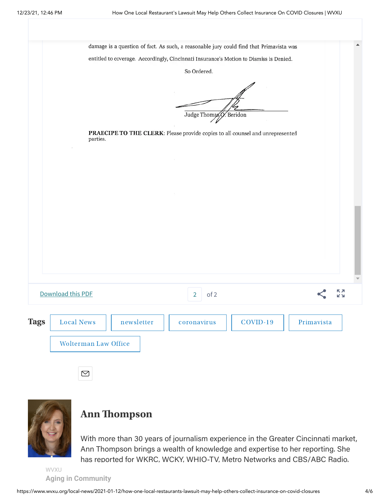|                                                | entitled to coverage. Accordingly, Cincinnati Insurance's Motion to Dismiss is Denied.<br>So Ordered. |                 |
|------------------------------------------------|-------------------------------------------------------------------------------------------------------|-----------------|
|                                                | Judge Thomas Q. Beridon                                                                               |                 |
| parties.                                       | PRAECIPE TO THE CLERK: Please provide copies to all counsel and unrepresented                         |                 |
|                                                |                                                                                                       |                 |
|                                                |                                                                                                       |                 |
|                                                |                                                                                                       |                 |
|                                                |                                                                                                       |                 |
|                                                |                                                                                                       |                 |
|                                                |                                                                                                       |                 |
| Download this PDF                              | of 2<br>$\overline{2}$                                                                                | кл<br><b>KN</b> |
|                                                | $COVID-19$<br>coronavirus                                                                             | Primavista      |
| <b>Tags</b><br><b>Local News</b><br>newsletter |                                                                                                       |                 |



## **Ann [Thompson](https://www.wvxu.org/people/ann-thompson)**

With more than 30 years of journalism experience in the Greater Cincinnati market, Ann Thompson brings a wealth of knowledge and expertise to her reporting. She has reported for WKRC, WCKY, WHIO-TV, Metro Networks and CBS/ABC Radio.

 $P$  is 2019 and 2019 and 2019 and 2019 and 2019 and 2019 and 2019 and 2019 and 2019 and 2019 and 2019 and 2019 and 2019 and 2019 and 2019 and 2019 and 2019 and 2019 and 2019 and 2019 and 2019 and 2019 and 2019 and 2019 an **Aging in Community** 

 $\boxtimes$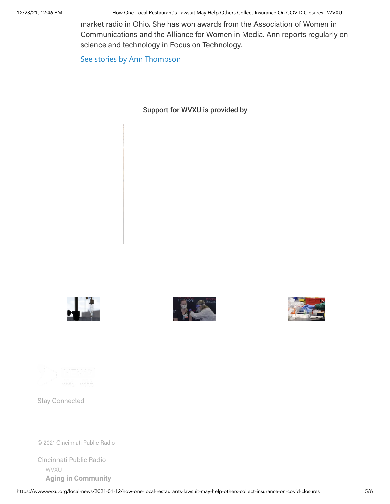12/23/21, 12:46 PM How One Local Restaurant's Lawsuit May Help Others Collect Insurance On COVID Closures | WVXU

market radio in Ohio. She has won awards from the Association of Women in Communications and the Alliance for Women in Media. Ann reports regularly on science and technology in Focus on Technology.

[See stories by Ann Thompson](https://www.wvxu.org/people/ann-thompson)

### Support for WVXU is provided by









Stay Connected

© 2021 Cincinnati Public Radio

[Cincinnati](https://www.cinradio.org/) Public Radio w∨x∪<br>**[Aging in Community](https://www.wvxu.org/about-wvxu)**